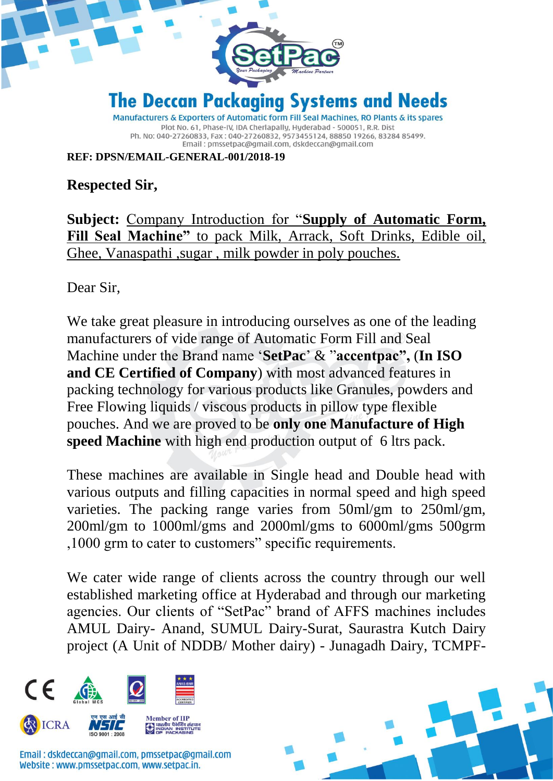

**REF: DPSN/EMAIL-GENERAL-001/2018-19**

**Respected Sir,**

**Subject:** Company Introduction for "**Supply of Automatic Form, Fill Seal Machine"** to pack Milk, Arrack, Soft Drinks, Edible oil, Ghee, Vanaspathi ,sugar , milk powder in poly pouches.

Dear Sir,

We take great pleasure in introducing ourselves as one of the leading manufacturers of vide range of Automatic Form Fill and Seal Machine under the Brand name '**SetPac**' & "**accentpac",** (**In ISO and CE Certified of Company**) with most advanced features in packing technology for various products like Granules, powders and Free Flowing liquids / viscous products in pillow type flexible pouches. And we are proved to be **only one Manufacture of High speed Machine** with high end production output of 6 ltrs pack.

These machines are available in Single head and Double head with various outputs and filling capacities in normal speed and high speed varieties. The packing range varies from 50ml/gm to 250ml/gm, 200ml/gm to 1000ml/gms and 2000ml/gms to 6000ml/gms 500grm ,1000 grm to cater to customers" specific requirements.

We cater wide range of clients across the country through our well established marketing office at Hyderabad and through our marketing agencies. Our clients of "SetPac" brand of AFFS machines includes AMUL Dairy- Anand, SUMUL Dairy-Surat, Saurastra Kutch Dairy project (A Unit of NDDB/ Mother dairy) - Junagadh Dairy, TCMPF-



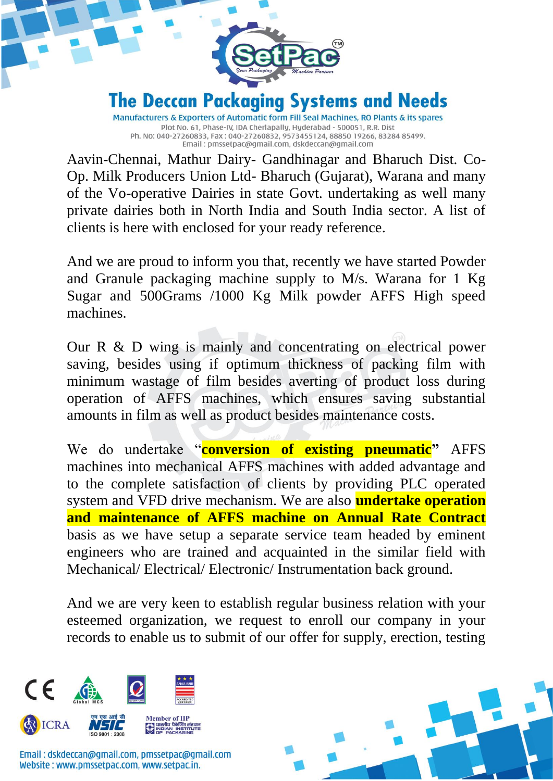

Ph. No: 040-27260833, Fax: 040-27260832, 9573455124, 88850 19266, 83284 85499. Email: pmssetpac@gmail.com, dskdeccan@gmail.com

Aavin-Chennai, Mathur Dairy- Gandhinagar and Bharuch Dist. Co-Op. Milk Producers Union Ltd- Bharuch (Gujarat), Warana and many of the Vo-operative Dairies in state Govt. undertaking as well many private dairies both in North India and South India sector. A list of clients is here with enclosed for your ready reference.

And we are proud to inform you that, recently we have started Powder and Granule packaging machine supply to M/s. Warana for 1 Kg Sugar and 500Grams /1000 Kg Milk powder AFFS High speed machines.

Our R & D wing is mainly and concentrating on electrical power saving, besides using if optimum thickness of packing film with minimum wastage of film besides averting of product loss during operation of AFFS machines, which ensures saving substantial amounts in film as well as product besides maintenance costs.

We do undertake "**conversion of existing pneumatic"** AFFS machines into mechanical AFFS machines with added advantage and to the complete satisfaction of clients by providing PLC operated system and VFD drive mechanism. We are also **undertake operation and maintenance of AFFS machine on Annual Rate Contract** basis as we have setup a separate service team headed by eminent engineers who are trained and acquainted in the similar field with Mechanical/ Electrical/ Electronic/ Instrumentation back ground.

And we are very keen to establish regular business relation with your esteemed organization, we request to enroll our company in your records to enable us to submit of our offer for supply, erection, testing



Email: dskdeccan@gmail.com, pmssetpac@gmail.com Website: www.pmssetpac.com, www.setpac.in.